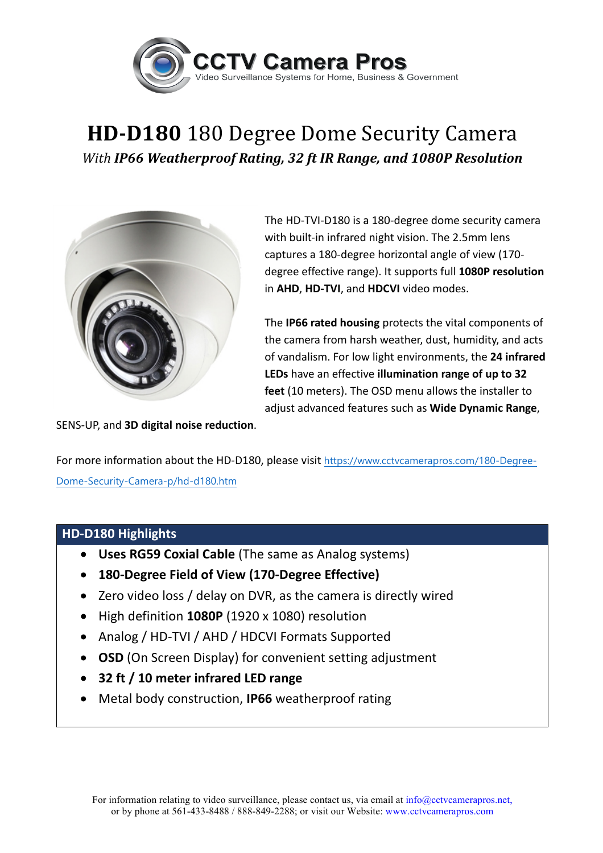

## **HD-D180** 180 Degree Dome Security Camera *With IP66 Weatherproof Rating, 32 ft IR Range, and 1080P Resolution*



The HD-TVI-D180 is a 180-degree dome security camera with built-in infrared night vision. The 2.5mm lens captures a 180-degree horizontal angle of view (170degree effective range). It supports full **1080P resolution** in AHD, HD-TVI, and HDCVI video modes.

The **IP66 rated housing** protects the vital components of the camera from harsh weather, dust, humidity, and acts of vandalism. For low light environments, the 24 infrared **LEDs** have an effective **illumination range of up to 32 feet** (10 meters). The OSD menu allows the installer to adjust advanced features such as Wide Dynamic Range,

SENS-UP, and **3D digital noise reduction**.

For more information about the HD-D180, please visit https://www.cctvcamerapros.com/180-Degree-Dome-Security-Camera-p/hd-d180.htm

## **HD-D180 Highlights**

- Uses RG59 Coxial Cable (The same as Analog systems)
- **180-Degree Field of View (170-Degree Effective)**
- Zero video loss / delay on DVR, as the camera is directly wired
- High definition **1080P** (1920 x 1080) resolution
- Analog / HD-TVI / AHD / HDCVI Formats Supported
- **OSD** (On Screen Display) for convenient setting adjustment
- **32 ft / 10 meter infrared LED range**
- Metal body construction, IP66 weatherproof rating